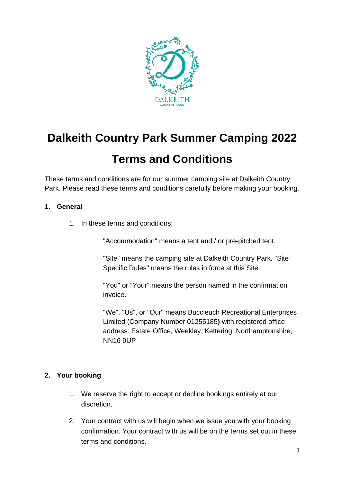

# **Dalkeith Country Park Summer Camping 2022**

# **Terms and Conditions**

These terms and conditions are for our summer camping site at Dalkeith Country Park. Please read these terms and conditions carefully before making your booking.

#### **1. General**

1. In these terms and conditions:

"Accommodation" means a tent and / or pre-pitched tent.

"Site" means the camping site at Dalkeith Country Park. "Site Specific Rules" means the rules in force at this Site.

"You" or "Your" means the person named in the confirmation invoice.

"We", "Us", or "Our" means Buccleuch Recreational Enterprises Limited (Company Number 01255185**)** with registered office address: Estate Office, Weekley, Kettering, Northamptonshire, NN16 9UP

# **2. Your booking**

- 1. We reserve the right to accept or decline bookings entirely at our discretion.
- 2. Your contract with us will begin when we issue you with your booking confirmation. Your contract with us will be on the terms set out in these terms and conditions.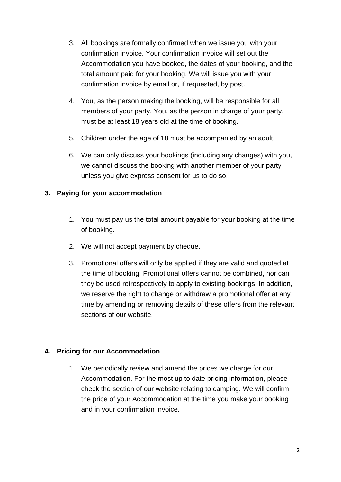- 3. All bookings are formally confirmed when we issue you with your confirmation invoice. Your confirmation invoice will set out the Accommodation you have booked, the dates of your booking, and the total amount paid for your booking. We will issue you with your confirmation invoice by email or, if requested, by post.
- 4. You, as the person making the booking, will be responsible for all members of your party. You, as the person in charge of your party, must be at least 18 years old at the time of booking.
- 5. Children under the age of 18 must be accompanied by an adult.
- 6. We can only discuss your bookings (including any changes) with you, we cannot discuss the booking with another member of your party unless you give express consent for us to do so.

# **3. Paying for your accommodation**

- 1. You must pay us the total amount payable for your booking at the time of booking.
- 2. We will not accept payment by cheque.
- 3. Promotional offers will only be applied if they are valid and quoted at the time of booking. Promotional offers cannot be combined, nor can they be used retrospectively to apply to existing bookings. In addition, we reserve the right to change or withdraw a promotional offer at any time by amending or removing details of these offers from the relevant sections of our website.

# **4. Pricing for our Accommodation**

1. We periodically review and amend the prices we charge for our Accommodation. For the most up to date pricing information, please check the section of our website relating to camping. We will confirm the price of your Accommodation at the time you make your booking and in your confirmation invoice.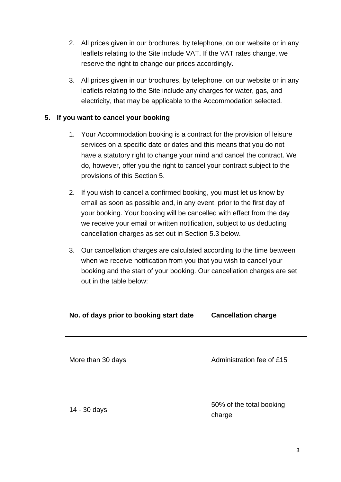- 2. All prices given in our brochures, by telephone, on our website or in any leaflets relating to the Site include VAT. If the VAT rates change, we reserve the right to change our prices accordingly.
- 3. All prices given in our brochures, by telephone, on our website or in any leaflets relating to the Site include any charges for water, gas, and electricity, that may be applicable to the Accommodation selected.

# **5. If you want to cancel your booking**

- 1. Your Accommodation booking is a contract for the provision of leisure services on a specific date or dates and this means that you do not have a statutory right to change your mind and cancel the contract. We do, however, offer you the right to cancel your contract subject to the provisions of this Section 5.
- 2. If you wish to cancel a confirmed booking, you must let us know by email as soon as possible and, in any event, prior to the first day of your booking. Your booking will be cancelled with effect from the day we receive your email or written notification, subject to us deducting cancellation charges as set out in Section 5.3 below.
- 3. Our cancellation charges are calculated according to the time between when we receive notification from you that you wish to cancel your booking and the start of your booking. Our cancellation charges are set out in the table below:

| No. of days prior to booking start date | <b>Cancellation charge</b>         |
|-----------------------------------------|------------------------------------|
| More than 30 days                       | Administration fee of £15          |
| 14 - 30 days                            | 50% of the total booking<br>charge |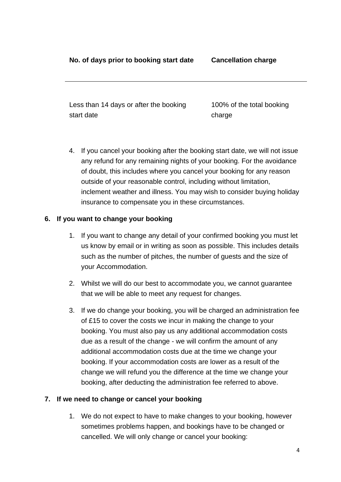Less than 14 days or after the booking start date

100% of the total booking charge

4. If you cancel your booking after the booking start date, we will not issue any refund for any remaining nights of your booking. For the avoidance of doubt, this includes where you cancel your booking for any reason outside of your reasonable control, including without limitation, inclement weather and illness. You may wish to consider buying holiday insurance to compensate you in these circumstances.

#### **6. If you want to change your booking**

- 1. If you want to change any detail of your confirmed booking you must let us know by email or in writing as soon as possible. This includes details such as the number of pitches, the number of guests and the size of your Accommodation.
- 2. Whilst we will do our best to accommodate you, we cannot guarantee that we will be able to meet any request for changes.
- 3. If we do change your booking, you will be charged an administration fee of £15 to cover the costs we incur in making the change to your booking. You must also pay us any additional accommodation costs due as a result of the change - we will confirm the amount of any additional accommodation costs due at the time we change your booking. If your accommodation costs are lower as a result of the change we will refund you the difference at the time we change your booking, after deducting the administration fee referred to above.

#### **7. If we need to change or cancel your booking**

1. We do not expect to have to make changes to your booking, however sometimes problems happen, and bookings have to be changed or cancelled. We will only change or cancel your booking: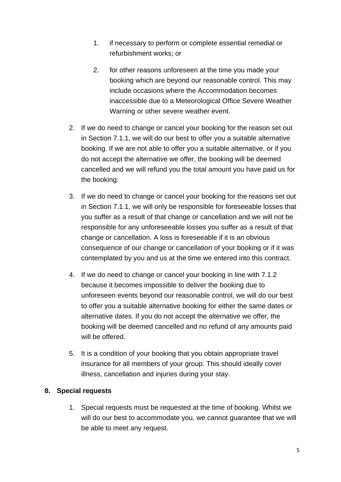- 1. if necessary to perform or complete essential remedial or refurbishment works; or
- 2. for other reasons unforeseen at the time you made your booking which are beyond our reasonable control. This may include occasions where the Accommodation becomes inaccessible due to a Meteorological Office Severe Weather Warning or other severe weather event.
- 2. If we do need to change or cancel your booking for the reason set out in Section 7.1.1, we will do our best to offer you a suitable alternative booking. If we are not able to offer you a suitable alternative, or if you do not accept the alternative we offer, the booking will be deemed cancelled and we will refund you the total amount you have paid us for the booking.
- 3. If we do need to change or cancel your booking for the reasons set out in Section 7.1.1, we will only be responsible for foreseeable losses that you suffer as a result of that change or cancellation and we will not be responsible for any unforeseeable losses you suffer as a result of that change or cancellation. A loss is foreseeable if it is an obvious consequence of our change or cancellation of your booking or if it was contemplated by you and us at the time we entered into this contract.
- 4. If we do need to change or cancel your booking in line with 7.1.2 because it becomes impossible to deliver the booking due to unforeseen events beyond our reasonable control, we will do our best to offer you a suitable alternative booking for either the same dates or alternative dates. If you do not accept the alternative we offer, the booking will be deemed cancelled and no refund of any amounts paid will be offered.
- 5. It is a condition of your booking that you obtain appropriate travel insurance for all members of your group. This should ideally cover illness, cancellation and injuries during your stay.

# **8. Special requests**

1. Special requests must be requested at the time of booking. Whilst we will do our best to accommodate you, we cannot guarantee that we will be able to meet any request.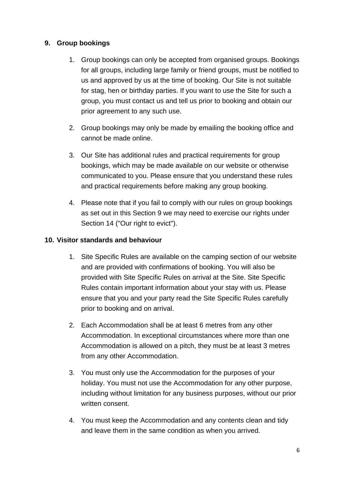# **9. Group bookings**

- 1. Group bookings can only be accepted from organised groups. Bookings for all groups, including large family or friend groups, must be notified to us and approved by us at the time of booking. Our Site is not suitable for stag, hen or birthday parties. If you want to use the Site for such a group, you must contact us and tell us prior to booking and obtain our prior agreement to any such use.
- 2. Group bookings may only be made by emailing the booking office and cannot be made online.
- 3. Our Site has additional rules and practical requirements for group bookings, which may be made available on our website or otherwise communicated to you. Please ensure that you understand these rules and practical requirements before making any group booking.
- 4. Please note that if you fail to comply with our rules on group bookings as set out in this Section 9 we may need to exercise our rights under Section 14 ("Our right to evict").

# **10. Visitor standards and behaviour**

- 1. Site Specific Rules are available on the camping section of our website and are provided with confirmations of booking. You will also be provided with Site Specific Rules on arrival at the Site. Site Specific Rules contain important information about your stay with us. Please ensure that you and your party read the Site Specific Rules carefully prior to booking and on arrival.
- 2. Each Accommodation shall be at least 6 metres from any other Accommodation. In exceptional circumstances where more than one Accommodation is allowed on a pitch, they must be at least 3 metres from any other Accommodation.
- 3. You must only use the Accommodation for the purposes of your holiday. You must not use the Accommodation for any other purpose, including without limitation for any business purposes, without our prior written consent.
- 4. You must keep the Accommodation and any contents clean and tidy and leave them in the same condition as when you arrived.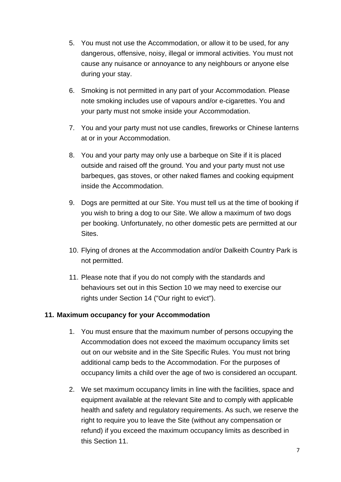- 5. You must not use the Accommodation, or allow it to be used, for any dangerous, offensive, noisy, illegal or immoral activities. You must not cause any nuisance or annoyance to any neighbours or anyone else during your stay.
- 6. Smoking is not permitted in any part of your Accommodation. Please note smoking includes use of vapours and/or e-cigarettes. You and your party must not smoke inside your Accommodation.
- 7. You and your party must not use candles, fireworks or Chinese lanterns at or in your Accommodation.
- 8. You and your party may only use a barbeque on Site if it is placed outside and raised off the ground. You and your party must not use barbeques, gas stoves, or other naked flames and cooking equipment inside the Accommodation.
- 9. Dogs are permitted at our Site. You must tell us at the time of booking if you wish to bring a dog to our Site. We allow a maximum of two dogs per booking. Unfortunately, no other domestic pets are permitted at our Sites.
- 10. Flying of drones at the Accommodation and/or Dalkeith Country Park is not permitted.
- 11. Please note that if you do not comply with the standards and behaviours set out in this Section 10 we may need to exercise our rights under Section 14 ("Our right to evict").

#### **11. Maximum occupancy for your Accommodation**

- 1. You must ensure that the maximum number of persons occupying the Accommodation does not exceed the maximum occupancy limits set out on our website and in the Site Specific Rules. You must not bring additional camp beds to the Accommodation. For the purposes of occupancy limits a child over the age of two is considered an occupant.
- 2. We set maximum occupancy limits in line with the facilities, space and equipment available at the relevant Site and to comply with applicable health and safety and regulatory requirements. As such, we reserve the right to require you to leave the Site (without any compensation or refund) if you exceed the maximum occupancy limits as described in this Section 11.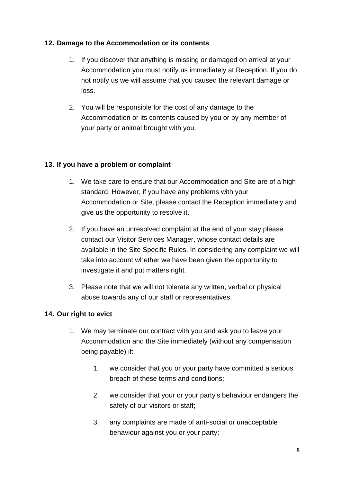#### **12. Damage to the Accommodation or its contents**

- 1. If you discover that anything is missing or damaged on arrival at your Accommodation you must notify us immediately at Reception. If you do not notify us we will assume that you caused the relevant damage or loss.
- 2. You will be responsible for the cost of any damage to the Accommodation or its contents caused by you or by any member of your party or animal brought with you.

# **13. If you have a problem or complaint**

- 1. We take care to ensure that our Accommodation and Site are of a high standard. However, if you have any problems with your Accommodation or Site, please contact the Reception immediately and give us the opportunity to resolve it.
- 2. If you have an unresolved complaint at the end of your stay please contact our Visitor Services Manager, whose contact details are available in the Site Specific Rules. In considering any complaint we will take into account whether we have been given the opportunity to investigate it and put matters right.
- 3. Please note that we will not tolerate any written, verbal or physical abuse towards any of our staff or representatives.

# **14. Our right to evict**

- 1. We may terminate our contract with you and ask you to leave your Accommodation and the Site immediately (without any compensation being payable) if:
	- 1. we consider that you or your party have committed a serious breach of these terms and conditions;
	- 2. we consider that your or your party's behaviour endangers the safety of our visitors or staff;
	- 3. any complaints are made of anti-social or unacceptable behaviour against you or your party;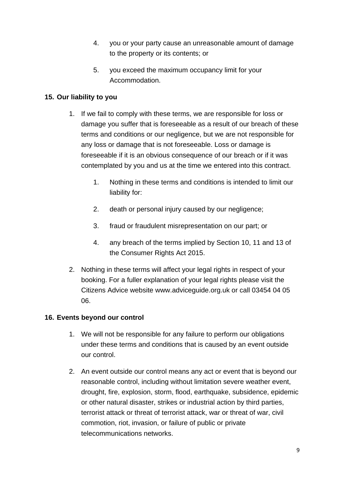- 4. you or your party cause an unreasonable amount of damage to the property or its contents; or
- 5. you exceed the maximum occupancy limit for your Accommodation.

# **15. Our liability to you**

- 1. If we fail to comply with these terms, we are responsible for loss or damage you suffer that is foreseeable as a result of our breach of these terms and conditions or our negligence, but we are not responsible for any loss or damage that is not foreseeable. Loss or damage is foreseeable if it is an obvious consequence of our breach or if it was contemplated by you and us at the time we entered into this contract.
	- 1. Nothing in these terms and conditions is intended to limit our liability for:
	- 2. death or personal injury caused by our negligence;
	- 3. fraud or fraudulent misrepresentation on our part; or
	- 4. any breach of the terms implied by Section 10, 11 and 13 of the Consumer Rights Act 2015.
- 2. Nothing in these terms will affect your legal rights in respect of your booking. For a fuller explanation of your legal rights please visit the Citizens Advice website www.adviceguide.org.uk or call 03454 04 05 06.

# **16. Events beyond our control**

- 1. We will not be responsible for any failure to perform our obligations under these terms and conditions that is caused by an event outside our control.
- 2. An event outside our control means any act or event that is beyond our reasonable control, including without limitation severe weather event, drought, fire, explosion, storm, flood, earthquake, subsidence, epidemic or other natural disaster, strikes or industrial action by third parties, terrorist attack or threat of terrorist attack, war or threat of war, civil commotion, riot, invasion, or failure of public or private telecommunications networks.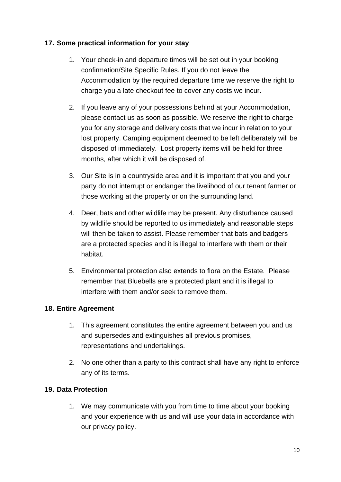# **17. Some practical information for your stay**

- 1. Your check-in and departure times will be set out in your booking confirmation/Site Specific Rules. If you do not leave the Accommodation by the required departure time we reserve the right to charge you a late checkout fee to cover any costs we incur.
- 2. If you leave any of your possessions behind at your Accommodation, please contact us as soon as possible. We reserve the right to charge you for any storage and delivery costs that we incur in relation to your lost property. Camping equipment deemed to be left deliberately will be disposed of immediately. Lost property items will be held for three months, after which it will be disposed of.
- 3. Our Site is in a countryside area and it is important that you and your party do not interrupt or endanger the livelihood of our tenant farmer or those working at the property or on the surrounding land.
- 4. Deer, bats and other wildlife may be present. Any disturbance caused by wildlife should be reported to us immediately and reasonable steps will then be taken to assist. Please remember that bats and badgers are a protected species and it is illegal to interfere with them or their habitat.
- 5. Environmental protection also extends to flora on the Estate. Please remember that Bluebells are a protected plant and it is illegal to interfere with them and/or seek to remove them.

#### **18. Entire Agreement**

- 1. This agreement constitutes the entire agreement between you and us and supersedes and extinguishes all previous promises, representations and undertakings.
- 2. No one other than a party to this contract shall have any right to enforce any of its terms.

#### **19. Data Protection**

1. We may communicate with you from time to time about your booking and your experience with us and will use your data in accordance with our privacy policy.